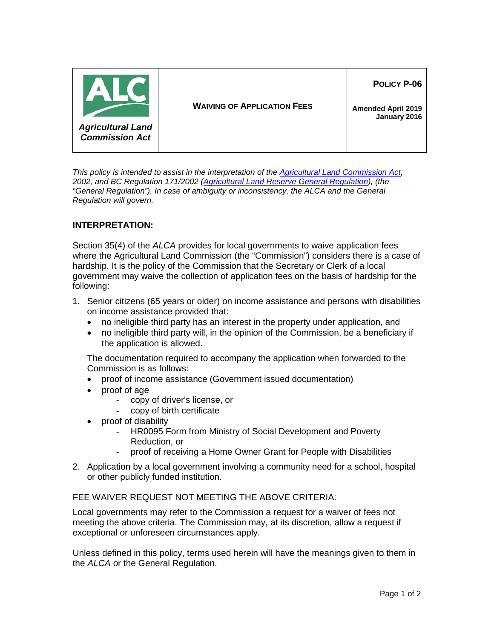

*This policy is intended to assist in the interpretation of the [Agricultural Land Commission Act,](http://www.bclaws.ca/Recon/document/ID/freeside/00_02036_01) 2002, and BC Regulation 171/2002 [\(Agricultural Land Reserve General Regulation\)](http://www.bclaws.ca/civix/document/id/complete/statreg/171_2002), (the "General Regulation"). In case of ambiguity or inconsistency, the ALCA and the General Regulation will govern.*

## **INTERPRETATION:**

Section 35(4) of the *ALCA* provides for local governments to waive application fees where the Agricultural Land Commission (the "Commission") considers there is a case of hardship. It is the policy of the Commission that the Secretary or Clerk of a local government may waive the collection of application fees on the basis of hardship for the following:

- 1. Senior citizens (65 years or older) on income assistance and persons with disabilities on income assistance provided that:
	- no ineligible third party has an interest in the property under application, and
	- no ineligible third party will, in the opinion of the Commission, be a beneficiary if the application is allowed.

The documentation required to accompany the application when forwarded to the Commission is as follows:

- proof of income assistance (Government issued documentation)
- proof of age
	- copy of driver's license, or
	- copy of birth certificate
- proof of disability
	- HR0095 Form from Ministry of Social Development and Poverty Reduction, or
	- proof of receiving a Home Owner Grant for People with Disabilities
- 2. Application by a local government involving a community need for a school, hospital or other publicly funded institution.

## FEE WAIVER REQUEST NOT MEETING THE ABOVE CRITERIA:

Local governments may refer to the Commission a request for a waiver of fees not meeting the above criteria. The Commission may, at its discretion, allow a request if exceptional or unforeseen circumstances apply.

Unless defined in this policy, terms used herein will have the meanings given to them in the *ALCA* or the General Regulation.